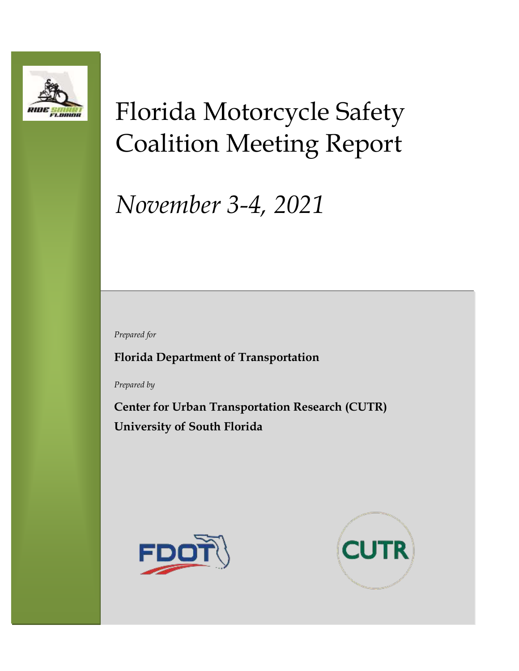

# Florida Motorcycle Safety Coalition Meeting Report

# *November 3-4, 2021*

*Prepared for*

**Florida Department of Transportation**

*Prepared by*

**Center for Urban Transportation Research (CUTR) University of South Florida**



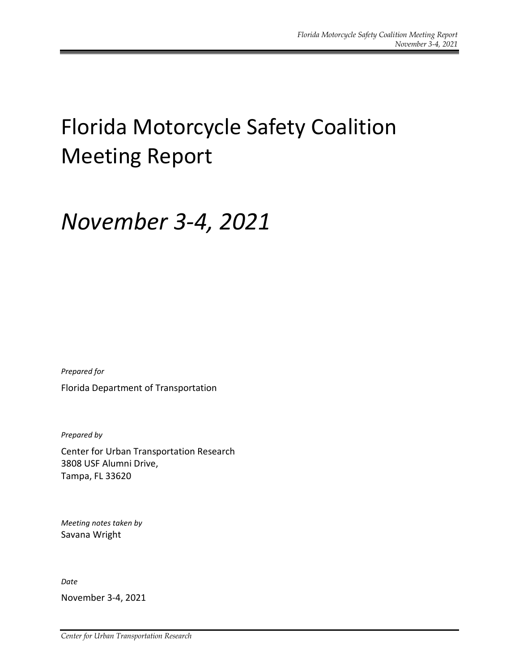## Florida Motorcycle Safety Coalition Meeting Report

### *November 3-4, 2021*

*Prepared for*

Florida Department of Transportation

*Prepared by*

Center for Urban Transportation Research 3808 USF Alumni Drive, Tampa, FL 33620

*Meeting notes taken by* Savana Wright

*Date*

November 3-4, 2021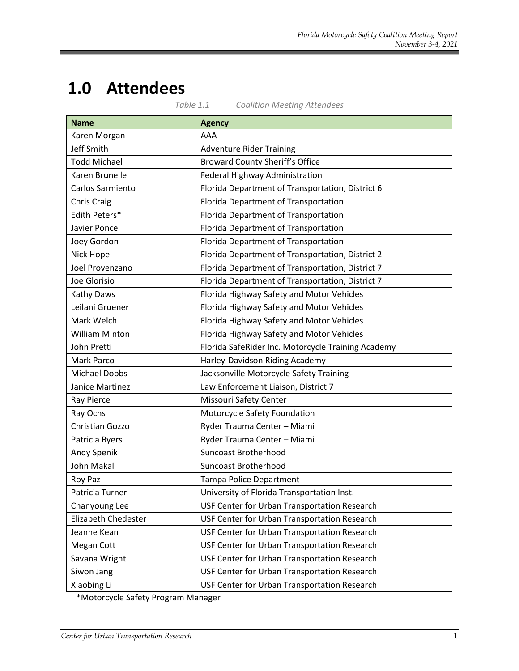# **1.0 Attendees**

| <b>Name</b>           | <b>Agency</b>                                      |
|-----------------------|----------------------------------------------------|
| Karen Morgan          | AAA                                                |
| Jeff Smith            | <b>Adventure Rider Training</b>                    |
| <b>Todd Michael</b>   | <b>Broward County Sheriff's Office</b>             |
| Karen Brunelle        | Federal Highway Administration                     |
| Carlos Sarmiento      | Florida Department of Transportation, District 6   |
| Chris Craig           | Florida Department of Transportation               |
| Edith Peters*         | Florida Department of Transportation               |
| Javier Ponce          | Florida Department of Transportation               |
| Joey Gordon           | Florida Department of Transportation               |
| Nick Hope             | Florida Department of Transportation, District 2   |
| Joel Provenzano       | Florida Department of Transportation, District 7   |
| Joe Glorisio          | Florida Department of Transportation, District 7   |
| Kathy Daws            | Florida Highway Safety and Motor Vehicles          |
| Leilani Gruener       | Florida Highway Safety and Motor Vehicles          |
| Mark Welch            | Florida Highway Safety and Motor Vehicles          |
| <b>William Minton</b> | Florida Highway Safety and Motor Vehicles          |
| John Pretti           | Florida SafeRider Inc. Motorcycle Training Academy |
| Mark Parco            | Harley-Davidson Riding Academy                     |
| <b>Michael Dobbs</b>  | Jacksonville Motorcycle Safety Training            |
| Janice Martinez       | Law Enforcement Liaison, District 7                |
| Ray Pierce            | Missouri Safety Center                             |
| Ray Ochs              | Motorcycle Safety Foundation                       |
| Christian Gozzo       | Ryder Trauma Center - Miami                        |
| Patricia Byers        | Ryder Trauma Center - Miami                        |
| Andy Spenik           | <b>Suncoast Brotherhood</b>                        |
| <b>John Makal</b>     | <b>Suncoast Brotherhood</b>                        |
| Roy Paz               | <b>Tampa Police Department</b>                     |
| Patricia Turner       | University of Florida Transportation Inst.         |
| Chanyoung Lee         | USF Center for Urban Transportation Research       |
| Elizabeth Chedester   | USF Center for Urban Transportation Research       |
| Jeanne Kean           | USF Center for Urban Transportation Research       |
| Megan Cott            | USF Center for Urban Transportation Research       |
| Savana Wright         | USF Center for Urban Transportation Research       |
| Siwon Jang            | USF Center for Urban Transportation Research       |
| Xiaobing Li           | USF Center for Urban Transportation Research       |

*Table 1.1 Coalition Meeting Attendees*

\*Motorcycle Safety Program Manager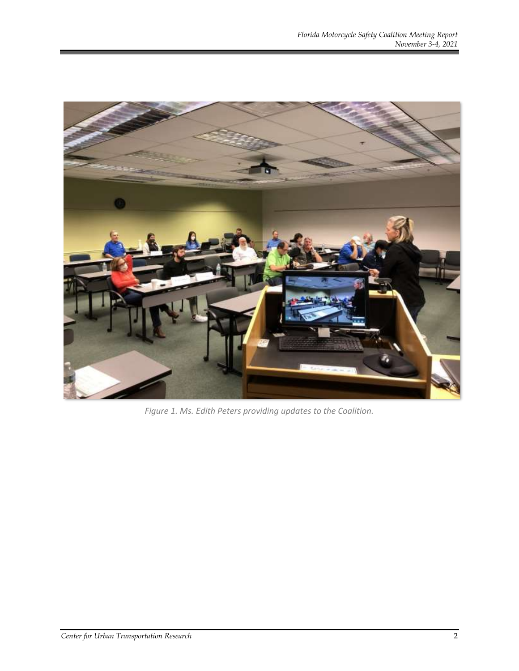

*Figure 1. Ms. Edith Peters providing updates to the Coalition.*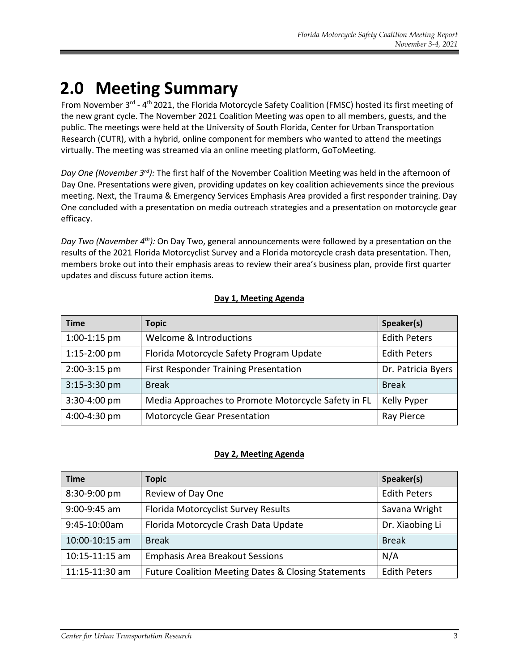### **2.0 Meeting Summary**

From November 3<sup>rd</sup> - 4<sup>th</sup> 2021, the Florida Motorcycle Safety Coalition (FMSC) hosted its first meeting of the new grant cycle. The November 2021 Coalition Meeting was open to all members, guests, and the public. The meetings were held at the University of South Florida, Center for Urban Transportation Research (CUTR), with a hybrid, online component for members who wanted to attend the meetings virtually. The meeting was streamed via an online meeting platform, GoToMeeting.

Day One (November 3<sup>rd</sup>): The first half of the November Coalition Meeting was held in the afternoon of Day One. Presentations were given, providing updates on key coalition achievements since the previous meeting. Next, the Trauma & Emergency Services Emphasis Area provided a first responder training. Day One concluded with a presentation on media outreach strategies and a presentation on motorcycle gear efficacy.

*Day Two (November 4th):* On Day Two, general announcements were followed by a presentation on the results of the 2021 Florida Motorcyclist Survey and a Florida motorcycle crash data presentation. Then, members broke out into their emphasis areas to review their area's business plan, provide first quarter updates and discuss future action items.

#### **Day 1, Meeting Agenda**

| <b>Time</b>    | <b>Topic</b>                                        | Speaker(s)          |
|----------------|-----------------------------------------------------|---------------------|
| $1:00-1:15$ pm | Welcome & Introductions                             | <b>Edith Peters</b> |
| $1:15-2:00$ pm | Florida Motorcycle Safety Program Update            | <b>Edith Peters</b> |
| 2:00-3:15 pm   | First Responder Training Presentation               | Dr. Patricia Byers  |
| 3:15-3:30 pm   | <b>Break</b>                                        | <b>Break</b>        |
| 3:30-4:00 pm   | Media Approaches to Promote Motorcycle Safety in FL | Kelly Pyper         |
| 4:00-4:30 pm   | Motorcycle Gear Presentation                        | Ray Pierce          |

#### **Day 2, Meeting Agenda**

| <b>Time</b>        | <b>Topic</b>                                        | Speaker(s)          |
|--------------------|-----------------------------------------------------|---------------------|
| 8:30-9:00 pm       | Review of Day One                                   | <b>Edith Peters</b> |
| $9:00-9:45$ am     | Florida Motorcyclist Survey Results                 | Savana Wright       |
| 9:45-10:00am       | Florida Motorcycle Crash Data Update                | Dr. Xiaobing Li     |
| 10:00-10:15 am     | <b>Break</b>                                        | <b>Break</b>        |
| $10:15 - 11:15$ am | <b>Emphasis Area Breakout Sessions</b>              | N/A                 |
| 11:15-11:30 am     | Future Coalition Meeting Dates & Closing Statements | <b>Edith Peters</b> |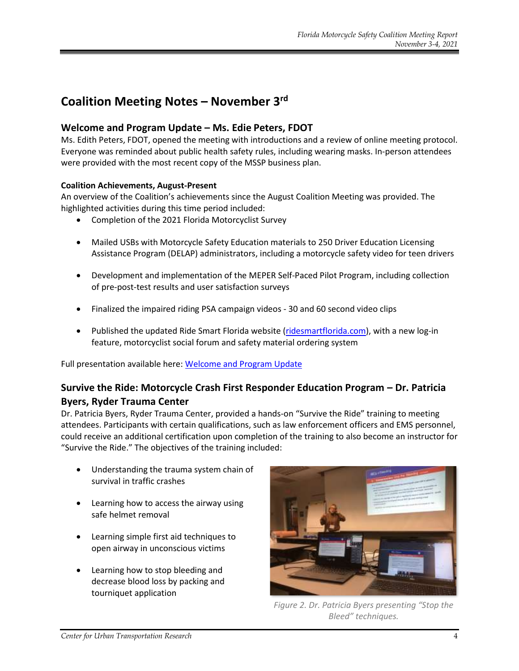### **Coalition Meeting Notes – November 3rd**

#### **Welcome and Program Update – Ms. Edie Peters, FDOT**

Ms. Edith Peters, FDOT, opened the meeting with introductions and a review of online meeting protocol. Everyone was reminded about public health safety rules, including wearing masks. In-person attendees were provided with the most recent copy of the MSSP business plan.

#### **Coalition Achievements, August-Present**

An overview of the Coalition's achievements since the August Coalition Meeting was provided. The highlighted activities during this time period included:

- Completion of the 2021 Florida Motorcyclist Survey
- Mailed USBs with Motorcycle Safety Education materials to 250 Driver Education Licensing Assistance Program (DELAP) administrators, including a motorcycle safety video for teen drivers
- Development and implementation of the MEPER Self-Paced Pilot Program, including collection of pre-post-test results and user satisfaction surveys
- Finalized the impaired riding PSA campaign videos 30 and 60 second video clips
- Published the updated Ride Smart Florida website [\(ridesmartflorida.com\)](https://ridesmartflorida.com/), with a new log-in feature, motorcyclist social forum and safety material ordering system

Full presentation available here: [Welcome and Program Update](https://ridesmartflorida.com/download/november-2021-program-update-presentation/)

#### **Survive the Ride: Motorcycle Crash First Responder Education Program – Dr. Patricia Byers, Ryder Trauma Center**

Dr. Patricia Byers, Ryder Trauma Center, provided a hands-on "Survive the Ride" training to meeting attendees. Participants with certain qualifications, such as law enforcement officers and EMS personnel, could receive an additional certification upon completion of the training to also become an instructor for "Survive the Ride." The objectives of the training included:

- Understanding the trauma system chain of survival in traffic crashes
- Learning how to access the airway using safe helmet removal
- Learning simple first aid techniques to open airway in unconscious victims
- Learning how to stop bleeding and decrease blood loss by packing and tourniquet application



*Figure 2. Dr. Patricia Byers presenting "Stop the Bleed" techniques.*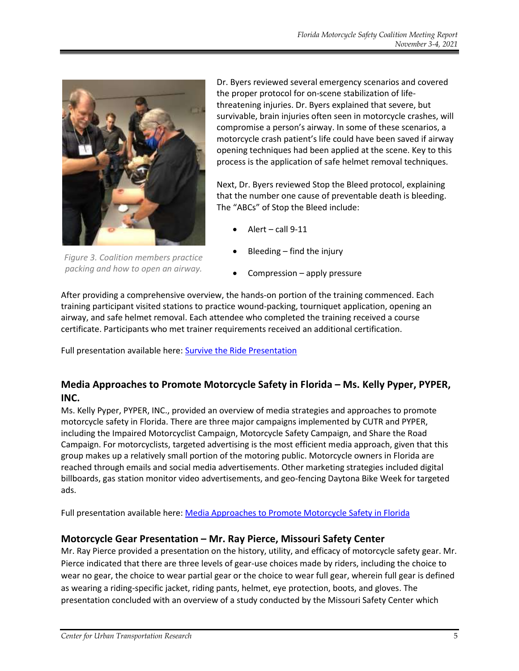

*Figure 3. Coalition members practice packing and how to open an airway.*

Dr. Byers reviewed several emergency scenarios and covered the proper protocol for on-scene stabilization of lifethreatening injuries. Dr. Byers explained that severe, but survivable, brain injuries often seen in motorcycle crashes, will compromise a person's airway. In some of these scenarios, a motorcycle crash patient's life could have been saved if airway opening techniques had been applied at the scene. Key to this process is the application of safe helmet removal techniques.

Next, Dr. Byers reviewed Stop the Bleed protocol, explaining that the number one cause of preventable death is bleeding. The "ABCs" of Stop the Bleed include:

- Alert call  $9-11$
- Bleeding find the injury
- Compression apply pressure

After providing a comprehensive overview, the hands-on portion of the training commenced. Each training participant visited stations to practice wound-packing, tourniquet application, opening an airway, and safe helmet removal. Each attendee who completed the training received a course certificate. Participants who met trainer requirements received an additional certification.

Full presentation available here: [Survive the Ride Presentation](https://ridesmartflorida.com/?post_type=wpdmpro&p=10750&preview=true)

#### **Media Approaches to Promote Motorcycle Safety in Florida – Ms. Kelly Pyper, PYPER, INC.**

Ms. Kelly Pyper, PYPER, INC., provided an overview of media strategies and approaches to promote motorcycle safety in Florida. There are three major campaigns implemented by CUTR and PYPER, including the Impaired Motorcyclist Campaign, Motorcycle Safety Campaign, and Share the Road Campaign. For motorcyclists, targeted advertising is the most efficient media approach, given that this group makes up a relatively small portion of the motoring public. Motorcycle owners in Florida are reached through emails and social media advertisements. Other marketing strategies included digital billboards, gas station monitor video advertisements, and geo-fencing Daytona Bike Week for targeted ads.

Full presentation available here: [Media Approaches to Promote Motorcycle Safety in Florida](https://ridesmartflorida.com/?post_type=wpdmpro&p=10749&preview=true)

#### **Motorcycle Gear Presentation – Mr. Ray Pierce, Missouri Safety Center**

Mr. Ray Pierce provided a presentation on the history, utility, and efficacy of motorcycle safety gear. Mr. Pierce indicated that there are three levels of gear-use choices made by riders, including the choice to wear no gear, the choice to wear partial gear or the choice to wear full gear, wherein full gear is defined as wearing a riding-specific jacket, riding pants, helmet, eye protection, boots, and gloves. The presentation concluded with an overview of a study conducted by the Missouri Safety Center which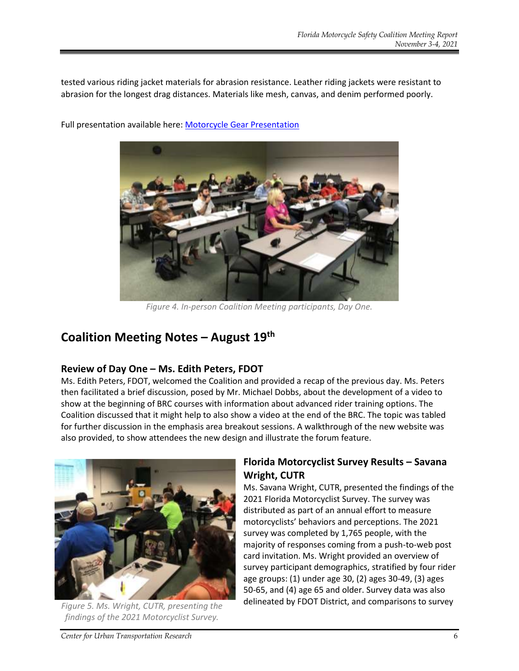tested various riding jacket materials for abrasion resistance. Leather riding jackets were resistant to abrasion for the longest drag distances. Materials like mesh, canvas, and denim performed poorly.



Full presentation available here: [Motorcycle Gear Presentation](https://ridesmartflorida.com/download/riding-gear-drag-test-presentation/)

*Figure 4. In-person Coalition Meeting participants, Day One.*

### **Coalition Meeting Notes – August 19th**

#### **Review of Day One – Ms. Edith Peters, FDOT**

Ms. Edith Peters, FDOT, welcomed the Coalition and provided a recap of the previous day. Ms. Peters then facilitated a brief discussion, posed by Mr. Michael Dobbs, about the development of a video to show at the beginning of BRC courses with information about advanced rider training options. The Coalition discussed that it might help to also show a video at the end of the BRC. The topic was tabled for further discussion in the emphasis area breakout sessions. A walkthrough of the new website was also provided, to show attendees the new design and illustrate the forum feature.



*findings of the 2021 Motorcyclist Survey.*

### **Florida Motorcyclist Survey Results – Savana Wright, CUTR**

Ms. Savana Wright, CUTR, presented the findings of the 2021 Florida Motorcyclist Survey. The survey was distributed as part of an annual effort to measure motorcyclists' behaviors and perceptions. The 2021 survey was completed by 1,765 people, with the majority of responses coming from a push-to-web post card invitation. Ms. Wright provided an overview of survey participant demographics, stratified by four rider age groups: (1) under age 30, (2) ages 30-49, (3) ages 50-65, and (4) age 65 and older. Survey data was also delineated by FDOT District, and comparisons to survey *Figure 5. Ms. Wright, CUTR, presenting the*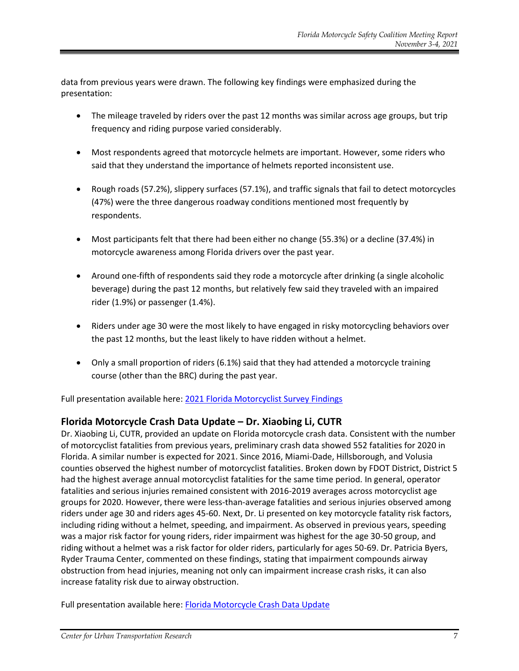data from previous years were drawn. The following key findings were emphasized during the presentation:

- The mileage traveled by riders over the past 12 months was similar across age groups, but trip frequency and riding purpose varied considerably.
- Most respondents agreed that motorcycle helmets are important. However, some riders who said that they understand the importance of helmets reported inconsistent use.
- Rough roads (57.2%), slippery surfaces (57.1%), and traffic signals that fail to detect motorcycles (47%) were the three dangerous roadway conditions mentioned most frequently by respondents.
- Most participants felt that there had been either no change (55.3%) or a decline (37.4%) in motorcycle awareness among Florida drivers over the past year.
- Around one-fifth of respondents said they rode a motorcycle after drinking (a single alcoholic beverage) during the past 12 months, but relatively few said they traveled with an impaired rider (1.9%) or passenger (1.4%).
- Riders under age 30 were the most likely to have engaged in risky motorcycling behaviors over the past 12 months, but the least likely to have ridden without a helmet.
- Only a small proportion of riders (6.1%) said that they had attended a motorcycle training course (other than the BRC) during the past year.

Full presentation available here: [2021 Florida Motorcyclist Survey Findings](https://ridesmartflorida.com/download/2021-florida-motorcyclist-survey-results-presentation/)

#### **Florida Motorcycle Crash Data Update – Dr. Xiaobing Li, CUTR**

Dr. Xiaobing Li, CUTR, provided an update on Florida motorcycle crash data. Consistent with the number of motorcyclist fatalities from previous years, preliminary crash data showed 552 fatalities for 2020 in Florida. A similar number is expected for 2021. Since 2016, Miami-Dade, Hillsborough, and Volusia counties observed the highest number of motorcyclist fatalities. Broken down by FDOT District, District 5 had the highest average annual motorcyclist fatalities for the same time period. In general, operator fatalities and serious injuries remained consistent with 2016-2019 averages across motorcyclist age groups for 2020. However, there were less-than-average fatalities and serious injuries observed among riders under age 30 and riders ages 45-60. Next, Dr. Li presented on key motorcycle fatality risk factors, including riding without a helmet, speeding, and impairment. As observed in previous years, speeding was a major risk factor for young riders, rider impairment was highest for the age 30-50 group, and riding without a helmet was a risk factor for older riders, particularly for ages 50-69. Dr. Patricia Byers, Ryder Trauma Center, commented on these findings, stating that impairment compounds airway obstruction from head injuries, meaning not only can impairment increase crash risks, it can also increase fatality risk due to airway obstruction.

Full presentation available here: [Florida Motorcycle Crash Data Update](https://ridesmartflorida.com/download/november-2021-florida-crash-data-presentation/)